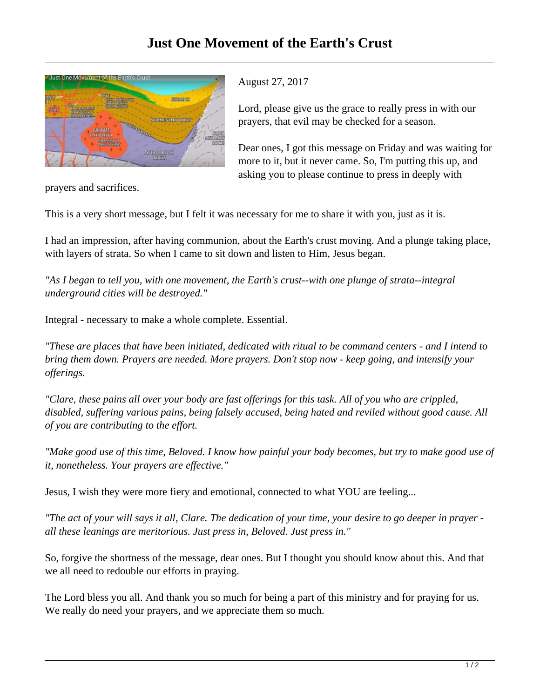

## August 27, 2017

Lord, please give us the grace to really press in with our prayers, that evil may be checked for a season.

Dear ones, I got this message on Friday and was waiting for more to it, but it never came. So, I'm putting this up, and asking you to please continue to press in deeply with

prayers and sacrifices.

This is a very short message, but I felt it was necessary for me to share it with you, just as it is.

I had an impression, after having communion, about the Earth's crust moving. And a plunge taking place, with layers of strata. So when I came to sit down and listen to Him, Jesus began.

*"As I began to tell you, with one movement, the Earth's crust--with one plunge of strata--integral underground cities will be destroyed."*

Integral - necessary to make a whole complete. Essential.

*"These are places that have been initiated, dedicated with ritual to be command centers - and I intend to bring them down. Prayers are needed. More prayers. Don't stop now - keep going, and intensify your offerings.*

*"Clare, these pains all over your body are fast offerings for this task. All of you who are crippled, disabled, suffering various pains, being falsely accused, being hated and reviled without good cause. All of you are contributing to the effort.*

*"Make good use of this time, Beloved. I know how painful your body becomes, but try to make good use of it, nonetheless. Your prayers are effective."*

Jesus, I wish they were more fiery and emotional, connected to what YOU are feeling...

*"The act of your will says it all, Clare. The dedication of your time, your desire to go deeper in prayer all these leanings are meritorious. Just press in, Beloved. Just press in."*

So, forgive the shortness of the message, dear ones. But I thought you should know about this. And that we all need to redouble our efforts in praying.

The Lord bless you all. And thank you so much for being a part of this ministry and for praying for us. We really do need your prayers, and we appreciate them so much.